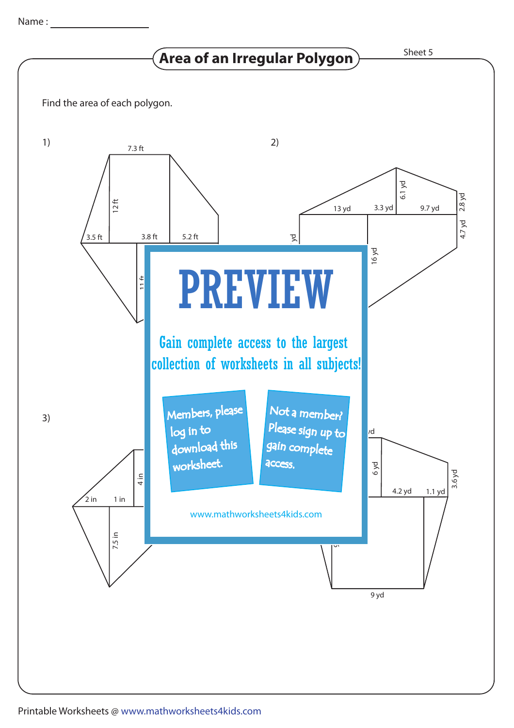